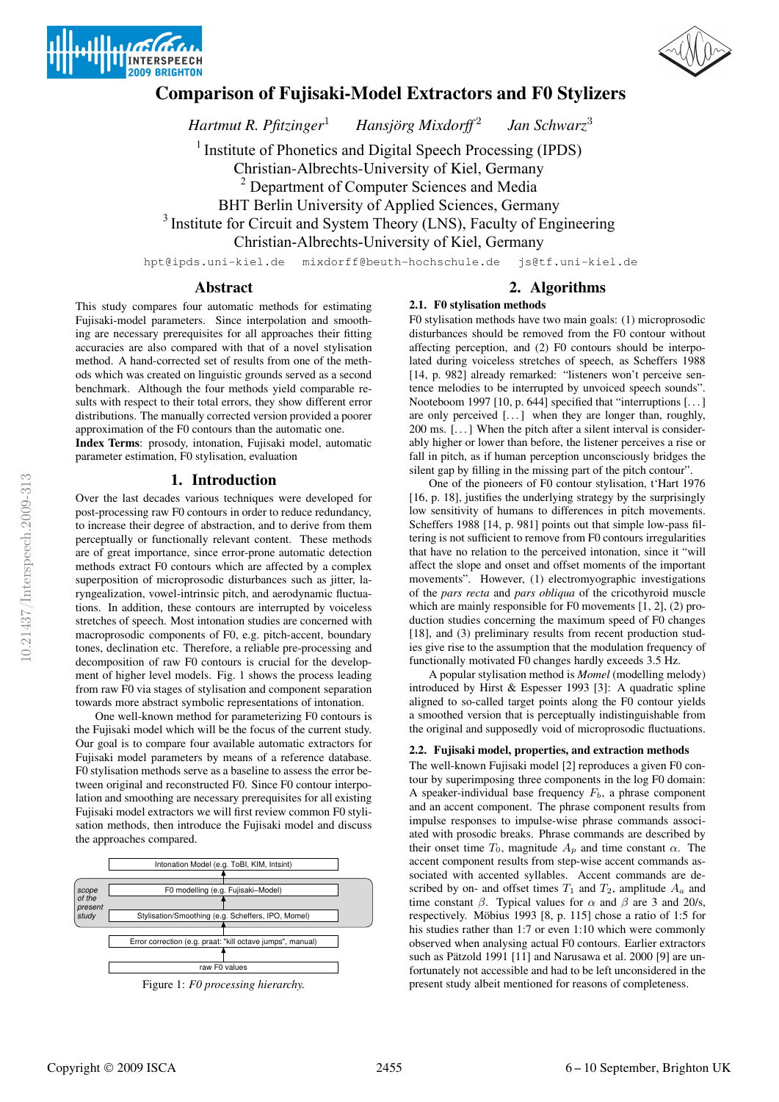



# **Comparison of Fujisaki-Model Extractors and F0 Stylizers**

*Hartmut R. Pfitzinger*<sup>1</sup> Hansjörg Mixdorff<sup>2</sup> *Jan Schwarz*<sup>3</sup>

<sup>1</sup> Institute of Phonetics and Digital Speech Processing (IPDS)

Christian-Albrechts-University of Kiel, Germany

<sup>2</sup> Department of Computer Sciences and Media

BHT Berlin University of Applied Sciences, Germany

<sup>3</sup> Institute for Circuit and System Theory (LNS), Faculty of Engineering

Christian-Albrechts-University of Kiel, Germany

hpt@ipds.uni-kiel.de mixdorff@beuth-hochschule.de js@tf.uni-kiel.de

# **Abstract**

This study compares four automatic methods for estimating Fujisaki-model parameters. Since interpolation and smoothing are necessary prerequisites for all approaches their fitting accuracies are also compared with that of a novel stylisation method. A hand-corrected set of results from one of the methods which was created on linguistic grounds served as a second benchmark. Although the four methods yield comparable results with respect to their total errors, they show different error distributions. The manually corrected version provided a poorer approximation of the F0 contours than the automatic one.

**Index Terms**: prosody, intonation, Fujisaki model, automatic parameter estimation, F0 stylisation, evaluation

# **1. Introduction**

Over the last decades various techniques were developed for post-processing raw F0 contours in order to reduce redundancy, to increase their degree of abstraction, and to derive from them perceptually or functionally relevant content. These methods are of great importance, since error-prone automatic detection methods extract F0 contours which are affected by a complex superposition of microprosodic disturbances such as jitter, laryngealization, vowel-intrinsic pitch, and aerodynamic fluctuations. In addition, these contours are interrupted by voiceless stretches of speech. Most intonation studies are concerned with macroprosodic components of F0, e.g. pitch-accent, boundary tones, declination etc. Therefore, a reliable pre-processing and decomposition of raw F0 contours is crucial for the development of higher level models. Fig. 1 shows the process leading from raw F0 via stages of stylisation and component separation towards more abstract symbolic representations of intonation.

One well-known method for parameterizing F0 contours is the Fujisaki model which will be the focus of the current study. Our goal is to compare four available automatic extractors for Fujisaki model parameters by means of a reference database. F0 stylisation methods serve as a baseline to assess the error between original and reconstructed F0. Since F0 contour interpolation and smoothing are necessary prerequisites for all existing Fujisaki model extractors we will first review common F0 stylisation methods, then introduce the Fujisaki model and discuss the approaches compared.



# **2. Algorithms**

# **2.1. F0 stylisation methods**

F0 stylisation methods have two main goals: (1) microprosodic disturbances should be removed from the F0 contour without affecting perception, and (2) F0 contours should be interpolated during voiceless stretches of speech, as Scheffers 1988 [14, p. 982] already remarked: "listeners won't perceive sentence melodies to be interrupted by unvoiced speech sounds". Nooteboom 1997 [10, p. 644] specified that "interruptions [. . .] are only perceived  $[\dots]$  when they are longer than, roughly, 200 ms. [. . .] When the pitch after a silent interval is considerably higher or lower than before, the listener perceives a rise or fall in pitch, as if human perception unconsciously bridges the silent gap by filling in the missing part of the pitch contour".

One of the pioneers of F0 contour stylisation, t'Hart 1976 [16, p. 18], justifies the underlying strategy by the surprisingly low sensitivity of humans to differences in pitch movements. Scheffers 1988 [14, p. 981] points out that simple low-pass filtering is not sufficient to remove from F0 contours irregularities that have no relation to the perceived intonation, since it "will affect the slope and onset and offset moments of the important movements". However, (1) electromyographic investigations of the *pars recta* and *pars obliqua* of the cricothyroid muscle which are mainly responsible for F0 movements [1, 2], (2) production studies concerning the maximum speed of F0 changes [18], and (3) preliminary results from recent production studies give rise to the assumption that the modulation frequency of functionally motivated F0 changes hardly exceeds 3.5 Hz.

A popular stylisation method is *Momel* (modelling melody) introduced by Hirst & Espesser 1993 [3]: A quadratic spline aligned to so-called target points along the F0 contour yields a smoothed version that is perceptually indistinguishable from the original and supposedly void of microprosodic fluctuations.

## **2.2. Fujisaki model, properties, and extraction methods**

The well-known Fujisaki model [2] reproduces a given F0 contour by superimposing three components in the log F0 domain: A speaker-individual base frequency  $F_b$ , a phrase component and an accent component. The phrase component results from impulse responses to impulse-wise phrase commands associated with prosodic breaks. Phrase commands are described by their onset time  $T_0$ , magnitude  $A_p$  and time constant  $\alpha$ . The accent component results from step-wise accent commands associated with accented syllables. Accent commands are described by on- and offset times  $T_1$  and  $T_2$ , amplitude  $A_a$  and time constant  $\beta$ . Typical values for  $\alpha$  and  $\beta$  are 3 and 20/s, respectively. Möbius 1993 [8, p. 115] chose a ratio of 1:5 for his studies rather than 1:7 or even 1:10 which were commonly observed when analysing actual F0 contours. Earlier extractors such as Pätzold 1991 [11] and Narusawa et al. 2000 [9] are unfortunately not accessible and had to be left unconsidered in the present study albeit mentioned for reasons of completeness.

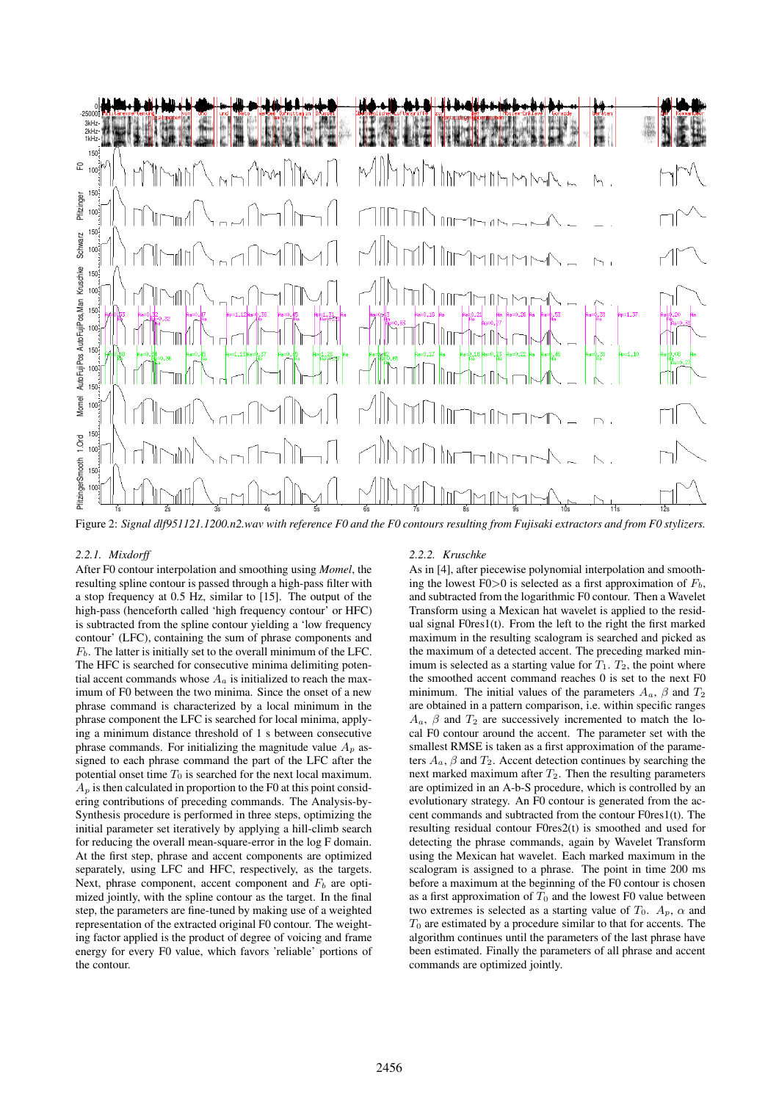

Figure 2: Signal dlf951121.1200.n2.wav with reference F0 and the F0 contours resulting from Fujisaki extractors and from F0 stylizers.

#### *2.2.1. Mixdorff*

After F0 contour interpolation and smoothing using *Momel*, the resulting spline contour is passed through a high-pass filter with a stop frequency at 0.5 Hz, similar to [15]. The output of the high-pass (henceforth called 'high frequency contour' or HFC) is subtracted from the spline contour yielding a 'low frequency contour' (LFC), containing the sum of phrase components and  $F_b$ . The latter is initially set to the overall minimum of the LFC. The HFC is searched for consecutive minima delimiting potential accent commands whose  $A_a$  is initialized to reach the maximum of F0 between the two minima. Since the onset of a new phrase command is characterized by a local minimum in the phrase component the LFC is searched for local minima, applying a minimum distance threshold of 1 s between consecutive phrase commands. For initializing the magnitude value  $A_p$  assigned to each phrase command the part of the LFC after the potential onset time  $T_0$  is searched for the next local maximum.  $A_p$  is then calculated in proportion to the F0 at this point considering contributions of preceding commands. The Analysis-by-Synthesis procedure is performed in three steps, optimizing the initial parameter set iteratively by applying a hill-climb search for reducing the overall mean-square-error in the log F domain. At the first step, phrase and accent components are optimized separately, using LFC and HFC, respectively, as the targets. Next, phrase component, accent component and  $F_b$  are optimized jointly, with the spline contour as the target. In the final step, the parameters are fine-tuned by making use of a weighted representation of the extracted original F0 contour. The weighting factor applied is the product of degree of voicing and frame energy for every F0 value, which favors 'reliable' portions of the contour.

#### *2.2.2. Kruschke*

As in [4], after piecewise polynomial interpolation and smoothing the lowest F0>0 is selected as a first approximation of  $F_b$ , and subtracted from the logarithmic F0 contour. Then a Wavelet Transform using a Mexican hat wavelet is applied to the residual signal  $F0res1(t)$ . From the left to the right the first marked maximum in the resulting scalogram is searched and picked as the maximum of a detected accent. The preceding marked minimum is selected as a starting value for  $T_1$ .  $T_2$ , the point where the smoothed accent command reaches 0 is set to the next F0 minimum. The initial values of the parameters  $A_a$ ,  $\beta$  and  $T_2$ are obtained in a pattern comparison, i.e. within specific ranges  $A_a$ ,  $\beta$  and  $T_2$  are successively incremented to match the local F0 contour around the accent. The parameter set with the smallest RMSE is taken as a first approximation of the parameters  $A_a$ ,  $\beta$  and  $T_2$ . Accent detection continues by searching the next marked maximum after  $T_2$ . Then the resulting parameters are optimized in an A-b-S procedure, which is controlled by an evolutionary strategy. An F0 contour is generated from the accent commands and subtracted from the contour F0res1(t). The resulting residual contour F0res2(t) is smoothed and used for detecting the phrase commands, again by Wavelet Transform using the Mexican hat wavelet. Each marked maximum in the scalogram is assigned to a phrase. The point in time 200 ms before a maximum at the beginning of the F0 contour is chosen as a first approximation of  $T_0$  and the lowest F0 value between two extremes is selected as a starting value of  $T_0$ .  $A_n$ ,  $\alpha$  and  $T_0$  are estimated by a procedure similar to that for accents. The algorithm continues until the parameters of the last phrase have been estimated. Finally the parameters of all phrase and accent commands are optimized jointly.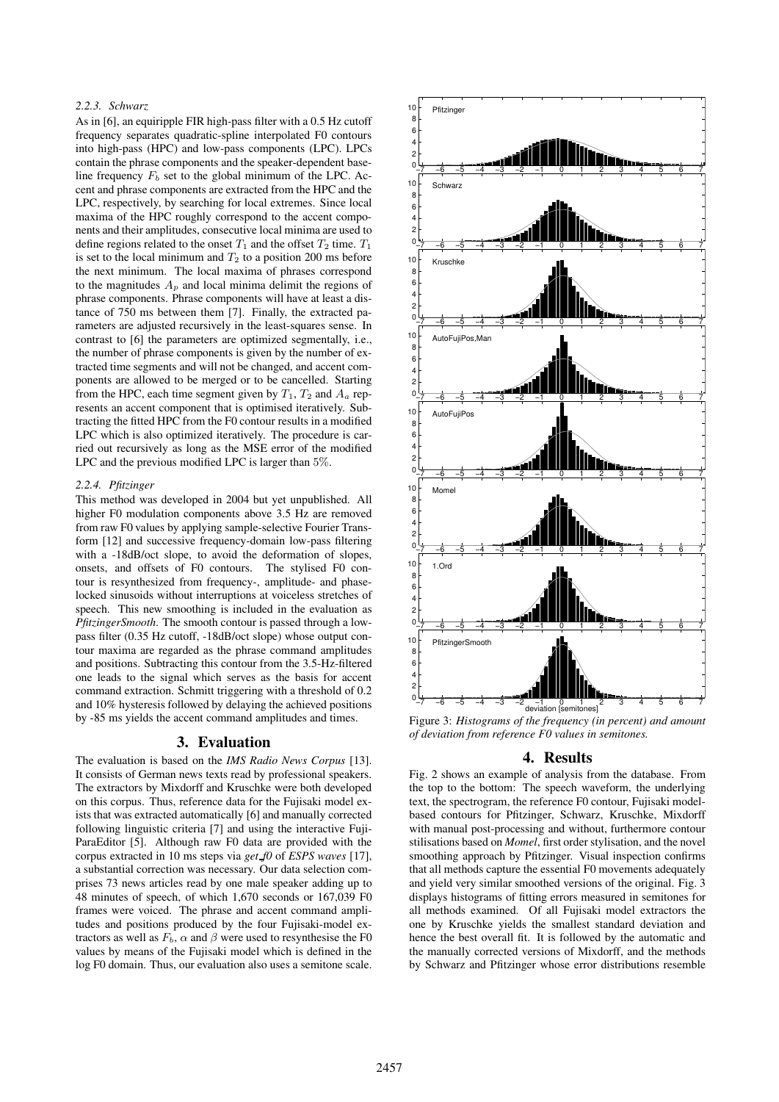### *2.2.3. Schwarz*

As in [6], an equiripple FIR high-pass filter with a 0.5 Hz cutoff frequency separates quadratic-spline interpolated F0 contours into high-pass (HPC) and low-pass components (LPC). LPCs contain the phrase components and the speaker-dependent baseline frequency  $F_b$  set to the global minimum of the LPC. Accent and phrase components are extracted from the HPC and the LPC, respectively, by searching for local extremes. Since local maxima of the HPC roughly correspond to the accent components and their amplitudes, consecutive local minima are used to define regions related to the onset  $T_1$  and the offset  $T_2$  time.  $T_1$ is set to the local minimum and  $T_2$  to a position 200 ms before the next minimum. The local maxima of phrases correspond to the magnitudes  $A_p$  and local minima delimit the regions of phrase components. Phrase components will have at least a distance of 750 ms between them [7]. Finally, the extracted parameters are adjusted recursively in the least-squares sense. In contrast to [6] the parameters are optimized segmentally, i.e., the number of phrase components is given by the number of extracted time segments and will not be changed, and accent components are allowed to be merged or to be cancelled. Starting from the HPC, each time segment given by  $T_1$ ,  $T_2$  and  $A_a$  represents an accent component that is optimised iteratively. Subtracting the fitted HPC from the F0 contour results in a modified LPC which is also optimized iteratively. The procedure is carried out recursively as long as the MSE error of the modified LPC and the previous modified LPC is larger than 5%.

#### *2.2.4. Pfitzinger*

This method was developed in 2004 but yet unpublished. All higher F0 modulation components above 3.5 Hz are removed from raw F0 values by applying sample-selective Fourier Transform [12] and successive frequency-domain low-pass filtering with a -18dB/oct slope, to avoid the deformation of slopes, onsets, and offsets of F0 contours. The stylised F0 contour is resynthesized from frequency-, amplitude- and phaselocked sinusoids without interruptions at voiceless stretches of speech. This new smoothing is included in the evaluation as *PfitzingerSmooth*. The smooth contour is passed through a lowpass filter (0.35 Hz cutoff, -18dB/oct slope) whose output contour maxima are regarded as the phrase command amplitudes and positions. Subtracting this contour from the 3.5-Hz-filtered one leads to the signal which serves as the basis for accent command extraction. Schmitt triggering with a threshold of 0.2 and 10% hysteresis followed by delaying the achieved positions by -85 ms yields the accent command amplitudes and times.

### **3. Evaluation**

The evaluation is based on the *IMS Radio News Corpus* [13]. It consists of German news texts read by professional speakers. The extractors by Mixdorff and Kruschke were both developed on this corpus. Thus, reference data for the Fujisaki model exists that was extracted automatically [6] and manually corrected following linguistic criteria [7] and using the interactive Fuji-ParaEditor [5]. Although raw F0 data are provided with the corpus extracted in 10 ms steps via *get f0* of *ESPS waves* [17], a substantial correction was necessary. Our data selection comprises 73 news articles read by one male speaker adding up to 48 minutes of speech, of which 1,670 seconds or 167,039 F0 frames were voiced. The phrase and accent command amplitudes and positions produced by the four Fujisaki-model extractors as well as  $F_b$ ,  $\alpha$  and  $\beta$  were used to resynthesise the F0 values by means of the Fujisaki model which is defined in the log F0 domain. Thus, our evaluation also uses a semitone scale.



Figure 3: *Histograms of the frequency (in percent) and amount of deviation from reference F0 values in semitones.*

#### **4. Results**

Fig. 2 shows an example of analysis from the database. From the top to the bottom: The speech waveform, the underlying text, the spectrogram, the reference F0 contour, Fujisaki modelbased contours for Pfitzinger, Schwarz, Kruschke, Mixdorff with manual post-processing and without, furthermore contour stilisations based on *Momel*, first order stylisation, and the novel smoothing approach by Pfitzinger. Visual inspection confirms that all methods capture the essential F0 movements adequately and yield very similar smoothed versions of the original. Fig. 3 displays histograms of fitting errors measured in semitones for all methods examined. Of all Fujisaki model extractors the one by Kruschke yields the smallest standard deviation and hence the best overall fit. It is followed by the automatic and the manually corrected versions of Mixdorff, and the methods by Schwarz and Pfitzinger whose error distributions resemble